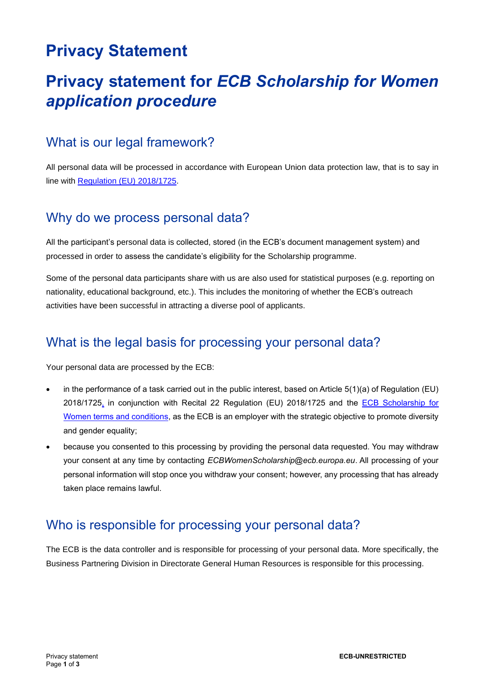# **Privacy Statement**

# **Privacy statement for** *ECB Scholarship for Women application procedure*

### What is our legal framework?

All personal data will be processed in accordance with European Union data protection law, that is to say in line with [Regulation \(EU\) 2018/1725.](https://eur-lex.europa.eu/legal-content/EN/TXT/?uri=CELEX%3A32018R1725)

#### Why do we process personal data?

All the participant's personal data is collected, stored (in the ECB's document management system) and processed in order to assess the candidate's eligibility for the Scholarship programme.

Some of the personal data participants share with us are also used for statistical purposes (e.g. reporting on nationality, educational background, etc.). This includes the monitoring of whether the ECB's outreach activities have been successful in attracting a diverse pool of applicants.

### What is the legal basis for processing your personal data?

Your personal data are processed by the ECB:

- in the performance of a task carried out in the public interest, based on Article 5(1)(a) of Regulation (EU) 2018/1725, in conjunction with Recital 22 Regulation (EU) 2018/1725 and the [ECB Scholarship for](https://www.ecb.europa.eu/careers/what-we-offer/wecs/shared/pdf/TermsandConditions_ECBScholarshipforWomen.en.pdf)  [Women terms and conditions,](https://www.ecb.europa.eu/careers/what-we-offer/wecs/shared/pdf/TermsandConditions_ECBScholarshipforWomen.en.pdf) as the ECB is an employer with the strategic objective to promote diversity and gender equality;
- because you consented to this processing by providing the personal data requested. You may withdraw your consent at any time by contacting *ECBWomenScholarship@ecb.europa.eu*. All processing of your personal information will stop once you withdraw your consent; however, any processing that has already taken place remains lawful.

### Who is responsible for processing your personal data?

The ECB is the data controller and is responsible for processing of your personal data. More specifically, the Business Partnering Division in Directorate General Human Resources is responsible for this processing.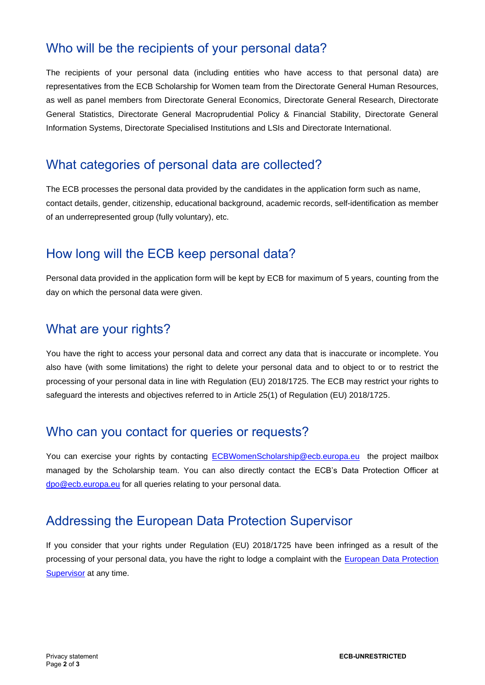### Who will be the recipients of your personal data?

The recipients of your personal data (including entities who have access to that personal data) are representatives from the ECB Scholarship for Women team from the Directorate General Human Resources, as well as panel members from Directorate General Economics, Directorate General Research, Directorate General Statistics, Directorate General Macroprudential Policy & Financial Stability, Directorate General Information Systems, Directorate Specialised Institutions and LSIs and Directorate International.

### What categories of personal data are collected?

The ECB processes the personal data provided by the candidates in the application form such as name, contact details, gender, citizenship, educational background, academic records, self-identification as member of an underrepresented group (fully voluntary), etc.

## How long will the ECB keep personal data?

Personal data provided in the application form will be kept by ECB for maximum of 5 years, counting from the day on which the personal data were given.

### What are your rights?

You have the right to access your personal data and correct any data that is inaccurate or incomplete. You also have (with some limitations) the right to delete your personal data and to object to or to restrict the processing of your personal data in line with Regulation (EU) 2018/1725. The ECB may restrict your rights to safeguard the interests and objectives referred to in Article 25(1) of Regulation (EU) 2018/1725.

#### Who can you contact for queries or requests?

You can exercise your rights by contacting [ECBWomenScholarship@ecb.europa.eu](mailto:ECBWomenScholarship@ecb.europa.eu) the project mailbox managed by the Scholarship team. You can also directly contact the ECB's Data Protection Officer at [dpo@ecb.europa.eu](mailto:dpo@ecb.europa.eu) for all queries relating to your personal data.

## Addressing the European Data Protection Supervisor

If you consider that your rights under Regulation (EU) 2018/1725 have been infringed as a result of the processing of your personal data, you have the right to lodge a complaint with the [European Data Protection](https://edps.europa.eu/data-protection/our-role-supervisor/complaints_en)  **[Supervisor](https://edps.europa.eu/data-protection/our-role-supervisor/complaints_en)** at any time.